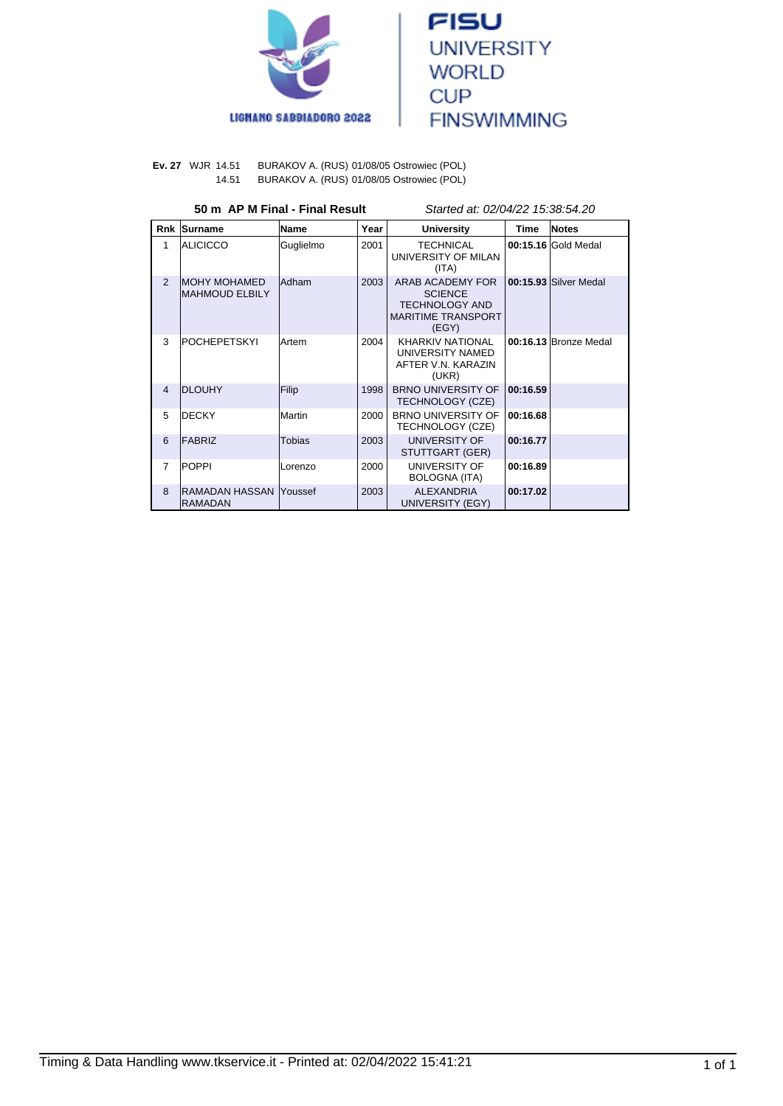



**Ev. 27** WJR 14.51 BURAKOV A. (RUS) 01/08/05 Ostrowiec (POL) 14.51 BURAKOV A. (RUS) 01/08/05 Ostrowiec (POL)

#### **50 m AP M Final - Final Result** Started at: 02/04/22 15:38:54.20

| <b>Rnk</b>     | <b>Surname</b>                                | Name          | Year | <b>University</b>                                                                                 | <b>Time</b> | <b>Notes</b>          |
|----------------|-----------------------------------------------|---------------|------|---------------------------------------------------------------------------------------------------|-------------|-----------------------|
| 1              | <b>ALICICCO</b>                               | Guglielmo     | 2001 | <b>TECHNICAL</b><br>UNIVERSITY OF MILAN<br>(ITA)                                                  |             | 00:15.16 Gold Medal   |
| $\overline{2}$ | <b>IMOHY MOHAMED</b><br><b>MAHMOUD ELBILY</b> | <b>Adham</b>  | 2003 | ARAB ACADEMY FOR<br><b>SCIENCE</b><br><b>TECHNOLOGY AND</b><br><b>MARITIME TRANSPORT</b><br>(EGY) |             | 00:15.93 Silver Medal |
| 3              | POCHEPETSKYI                                  | <b>Artem</b>  | 2004 | KHARKIV NATIONAL<br>UNIVERSITY NAMED<br>AFTER V.N. KARAZIN<br>(UKR)                               |             | 00:16.13 Bronze Medal |
| $\overline{4}$ | <b>DLOUHY</b>                                 | Filip         | 1998 | <b>BRNO UNIVERSITY OF</b><br>TECHNOLOGY (CZE)                                                     | 00:16.59    |                       |
| 5              | IDECKY                                        | Martin        | 2000 | <b>BRNO UNIVERSITY OF</b><br>TECHNOLOGY (CZE)                                                     | 00:16.68    |                       |
| 6              | FABRIZ                                        | <b>Tobias</b> | 2003 | UNIVERSITY OF<br>STUTTGART (GER)                                                                  | 00:16.77    |                       |
| $\overline{7}$ | POPPI                                         | Lorenzo       | 2000 | UNIVERSITY OF<br><b>BOLOGNA (ITA)</b>                                                             | 00:16.89    |                       |
| $\mathbf{8}$   | RAMADAN HASSAN  Youssef<br><b>RAMADAN</b>     |               | 2003 | <b>ALEXANDRIA</b><br>UNIVERSITY (EGY)                                                             | 00:17.02    |                       |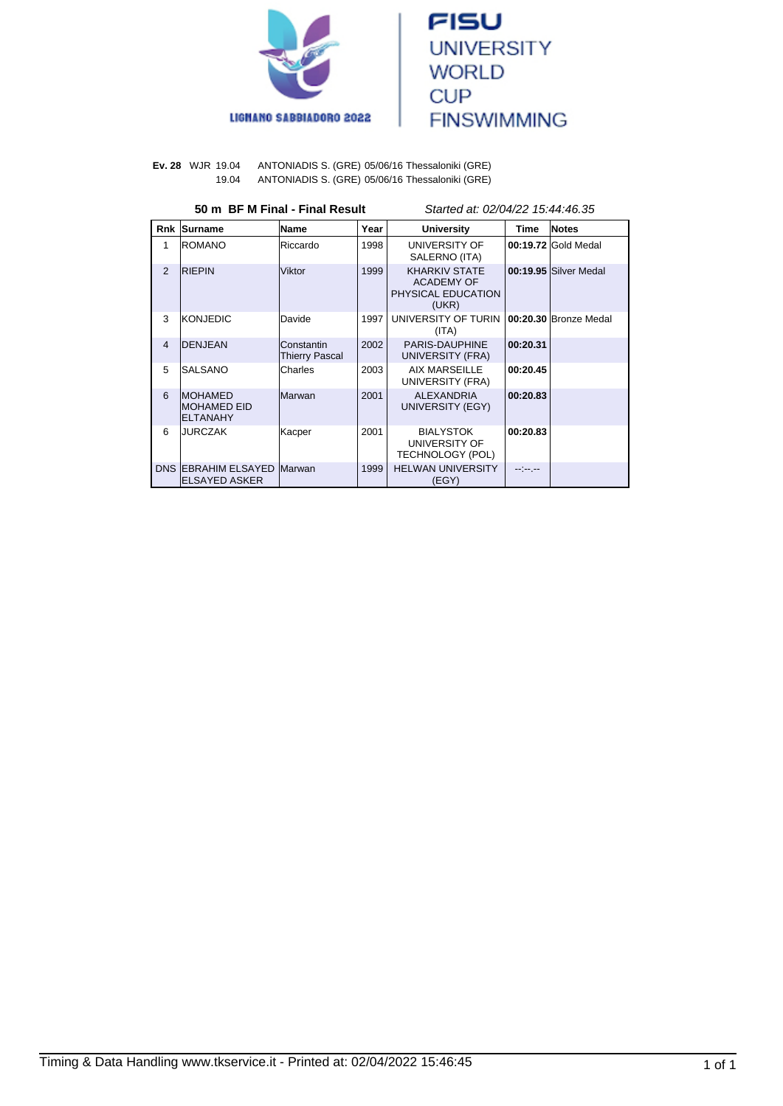



**Ev. 28** WJR 19.04 ANTONIADIS S. (GRE) 05/06/16 Thessaloniki (GRE) 19.04 ANTONIADIS S. (GRE) 05/06/16 Thessaloniki (GRE)

| 50 m BF M Final - Final Result |                                                           |                                     |      | Started at: 02/04/22 15:44:46.35                                  |          |                       |
|--------------------------------|-----------------------------------------------------------|-------------------------------------|------|-------------------------------------------------------------------|----------|-----------------------|
|                                | <b>Rnk Surname</b>                                        | Name                                | Year | <b>University</b>                                                 | Time     | <b>Notes</b>          |
| 1                              | <b>IROMANO</b>                                            | Riccardo                            | 1998 | UNIVERSITY OF<br>SALERNO (ITA)                                    |          | 00:19.72 Gold Medal   |
| 2                              | <b>RIEPIN</b>                                             | Viktor                              | 1999 | <b>KHARKIV STATE</b><br>ACADEMY OF<br>PHYSICAL EDUCATION<br>(UKR) |          | 00:19.95 Silver Medal |
| 3                              | KONJEDIC                                                  | Davide                              | 1997 | UNIVERSITY OF TURIN<br>(ITA)                                      |          | 00:20.30 Bronze Medal |
| 4                              | <b>DENJEAN</b>                                            | Constantin<br><b>Thierry Pascal</b> | 2002 | PARIS-DAUPHINE<br>UNIVERSITY (FRA)                                | 00:20.31 |                       |
| 5                              | <b>SALSANO</b>                                            | Charles                             | 2003 | AIX MARSEILLE<br>UNIVERSITY (FRA)                                 | 00:20.45 |                       |
| 6                              | <b>IMOHAMED</b><br><b>IMOHAMED EID</b><br><b>ELTANAHY</b> | Marwan                              | 2001 | <b>ALEXANDRIA</b><br>UNIVERSITY (EGY)                             | 00:20.83 |                       |
| 6                              | <b>JURCZAK</b>                                            | Kacper                              | 2001 | <b>BIALYSTOK</b><br>UNIVERSITY OF<br>TECHNOLOGY (POL)             | 00:20.83 |                       |
|                                | <b>DNS EBRAHIM ELSAYED</b><br>IELSAYED ASKER              | Marwan                              | 1999 | <b>HELWAN UNIVERSITY</b><br>(EGY)                                 | --1----  |                       |

Timing & Data Handling www.tkservice.it - Printed at: 02/04/2022 15:46:45 1 of 1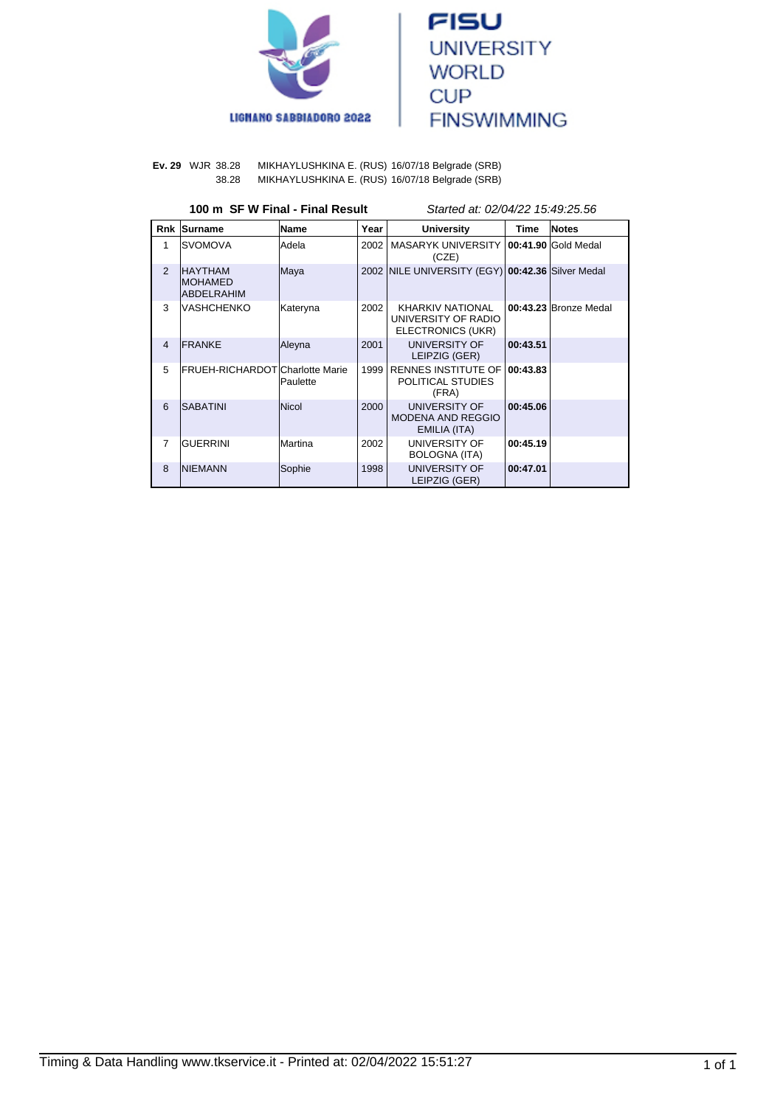



**Ev. 29** WJR 38.28 MIKHAYLUSHKINA E. (RUS) 16/07/18 Belgrade (SRB) MIKHAYLUSHKINA E. (RUS) 16/07/18 Belgrade (SRB)

### **100 m SF W Final - Final Result** Started at: 02/04/22 15:49:25.56

| <b>Rnk</b>     | Surname                                                | Name            | Year | <b>University</b>                                                   | <b>Time</b> | <b>Notes</b>          |
|----------------|--------------------------------------------------------|-----------------|------|---------------------------------------------------------------------|-------------|-----------------------|
| 1              | ISVOMOVA                                               | lAdela          | 2002 | MASARYK UNIVERSITY<br>(CZE)                                         |             | 00:41.90 Gold Medal   |
| $\mathfrak{p}$ | <b>HAYTHAM</b><br><b>IMOHAMED</b><br><b>ABDELRAHIM</b> | Maya            |      | 2002 NILE UNIVERSITY (EGY) 00:42.36 Silver Medal                    |             |                       |
| 3              | VASHCHENKO                                             | Kateryna        | 2002 | <b>KHARKIV NATIONAL</b><br>UNIVERSITY OF RADIO<br>ELECTRONICS (UKR) |             | 00:43.23 Bronze Medal |
| $\overline{4}$ | <b>IFRANKE</b>                                         | Aleyna          | 2001 | <b>UNIVERSITY OF</b><br>LEIPZIG (GER)                               | 00:43.51    |                       |
| 5              | <b>IFRUEH-RICHARDOTICharlotte Marie</b>                | <b>Paulette</b> | 1999 | <b>RENNES INSTITUTE OF</b><br>POLITICAL STUDIES<br>(FRA)            | 00:43.83    |                       |
| 6              | <b>SABATINI</b>                                        | Nicol           | 2000 | <b>UNIVERSITY OF</b><br><b>MODENA AND REGGIO</b><br>EMILIA (ITA)    | 00:45.06    |                       |
| $\overline{7}$ | <b>GUERRINI</b>                                        | lMartina        | 2002 | UNIVERSITY OF<br>BOLOGNA (ITA)                                      | 00:45.19    |                       |
| 8              | <b>INIEMANN</b>                                        | Sophie          | 1998 | UNIVERSITY OF<br>LEIPZIG (GER)                                      | 00:47.01    |                       |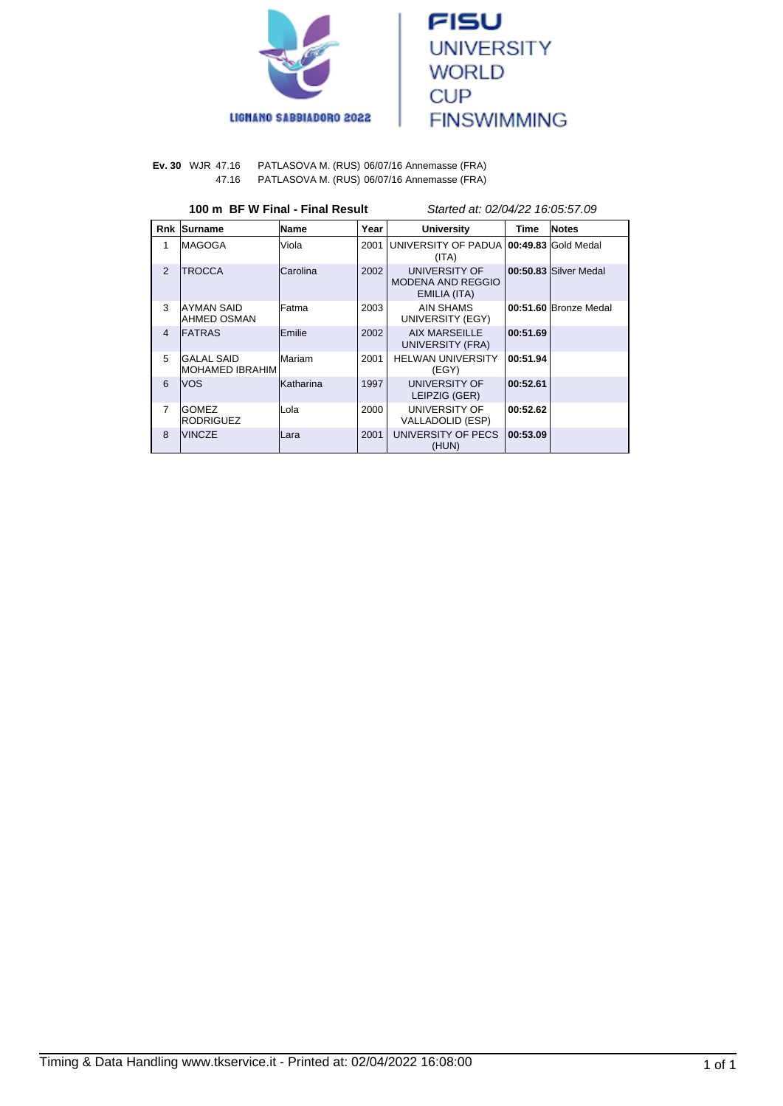



#### **Ev. 30** WJR 47.16 PATLASOVA M. (RUS) 06/07/16 Annemasse (FRA) 47.16 PATLASOVA M. (RUS) 06/07/16 Annemasse (FRA)

#### **100 m BF W Final - Final Result** Started at: 02/04/22 16:05:57.09

| <b>Rnk</b>     | Surname                          | <b>Name</b>      | Year | <b>University</b>                                  | <b>Time</b> | <b>Notes</b>          |
|----------------|----------------------------------|------------------|------|----------------------------------------------------|-------------|-----------------------|
| 1              | IMAGOGA                          | Viola            | 2001 | UNIVERSITY OF PADUA 100:49.83 Gold Medal<br>(ITA)  |             |                       |
| $\mathcal{P}$  | <b>TROCCA</b>                    | Carolina         | 2002 | UNIVERSITY OF<br>MODENA AND REGGIO<br>EMILIA (ITA) |             | 00:50.83 Silver Medal |
| 3              | IAYMAN SAID<br>IAHMED OSMAN      | lFatma           | 2003 | AIN SHAMS<br>UNIVERSITY (EGY)                      |             | 00:51.60 Bronze Medal |
| $\overline{4}$ | <b>FATRAS</b>                    | Emilie           | 2002 | AIX MARSEILLE<br>UNIVERSITY (FRA)                  | 00:51.69    |                       |
| 5              | IGALAL SAID<br>IMOHAMED IBRAHIM  | Mariam           | 2001 | <b>HELWAN UNIVERSITY</b><br>(EGY)                  | 00:51.94    |                       |
| 6              | lvos                             | <b>Katharina</b> | 1997 | UNIVERSITY OF<br>LEIPZIG (GER)                     | 00:52.61    |                       |
| $\overline{7}$ | <b>GOMEZ</b><br><b>RODRIGUEZ</b> | Lola             | 2000 | UNIVERSITY OF<br>VALLADOLID (ESP)                  | 00:52.62    |                       |
| 8              | <b>VINCZE</b>                    | Lara             | 2001 | UNIVERSITY OF PECS<br>(HUN)                        | 00:53.09    |                       |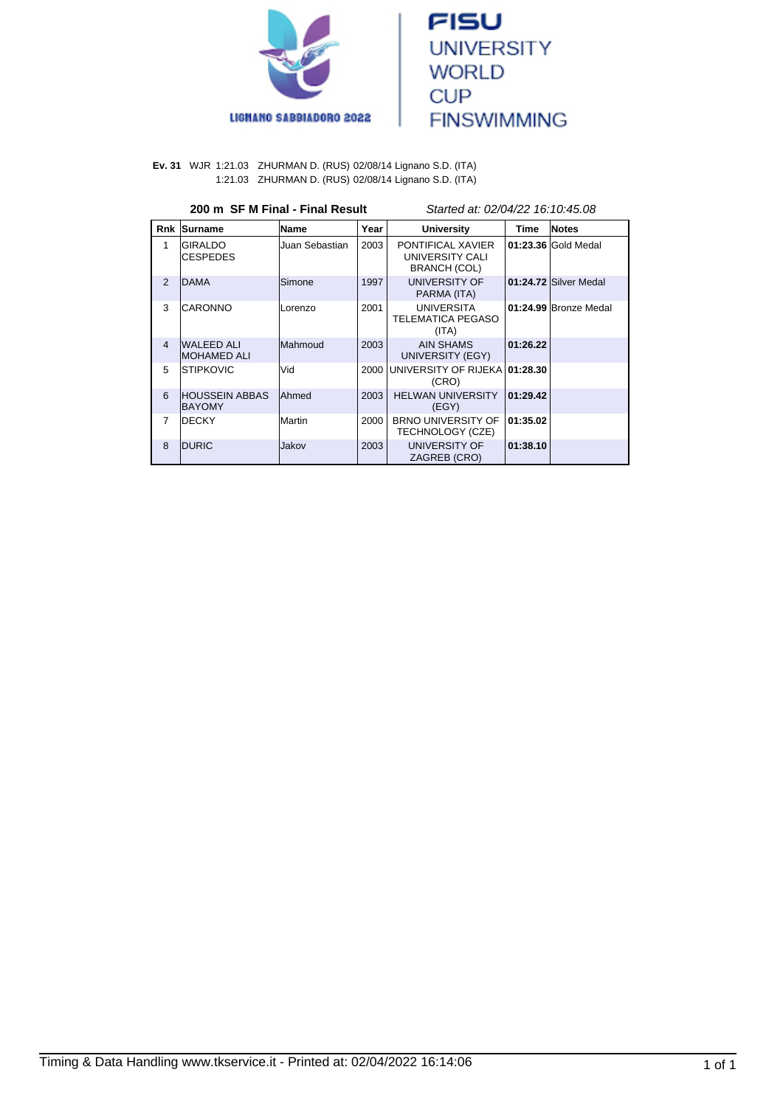



**Ev. 31** WJR 1:21.03 ZHURMAN D. (RUS) 02/08/14 Lignano S.D. (ITA) 1:21.03 ZHURMAN D. (RUS) 02/08/14 Lignano S.D. (ITA)

### **200 m SF M Final - Final Result** Started at: 02/04/22 16:10:45.08

|                | Rnk Surname                              | Name           | Year | <b>University</b>                                      | Time     | <b>Notes</b>          |
|----------------|------------------------------------------|----------------|------|--------------------------------------------------------|----------|-----------------------|
| 1              | <b>IGIRALDO</b><br><b>CESPEDES</b>       | Juan Sebastian | 2003 | PONTIFICAL XAVIER<br>UNIVERSITY CALI<br>BRANCH (COL)   |          | 01:23.36 Gold Medal   |
| $\mathfrak{p}$ | <b>DAMA</b>                              | Simone         | 1997 | <b>UNIVERSITY OF</b><br>PARMA (ITA)                    |          | 01:24.72 Silver Medal |
| 3              | <b>CARONNO</b>                           | Lorenzo        | 2001 | <b>UNIVERSITA</b><br><b>TELEMATICA PEGASO</b><br>(ITA) |          | 01:24.99 Bronze Medal |
| $\overline{4}$ | <b>WALEED ALI</b><br><b>IMOHAMED ALI</b> | Mahmoud        | 2003 | <b>AIN SHAMS</b><br>UNIVERSITY (EGY)                   | 01:26.22 |                       |
| 5              | <b>ISTIPKOVIC</b>                        | Vid            | 2000 | UNIVERSITY OF RIJEKA 01:28.30<br>(CRO)                 |          |                       |
| 6              | <b>IHOUSSEIN ABBAS</b><br><b>BAYOMY</b>  | <b>Ahmed</b>   | 2003 | <b>HELWAN UNIVERSITY</b><br>(EGY)                      | 01:29.42 |                       |
| 7              | <b>IDECKY</b>                            | Martin         | 2000 | <b>BRNO UNIVERSITY OF</b><br>TECHNOLOGY (CZE)          | 01:35.02 |                       |
| 8              | <b>IDURIC</b>                            | Jakov          | 2003 | UNIVERSITY OF<br>ZAGREB (CRO)                          | 01:38.10 |                       |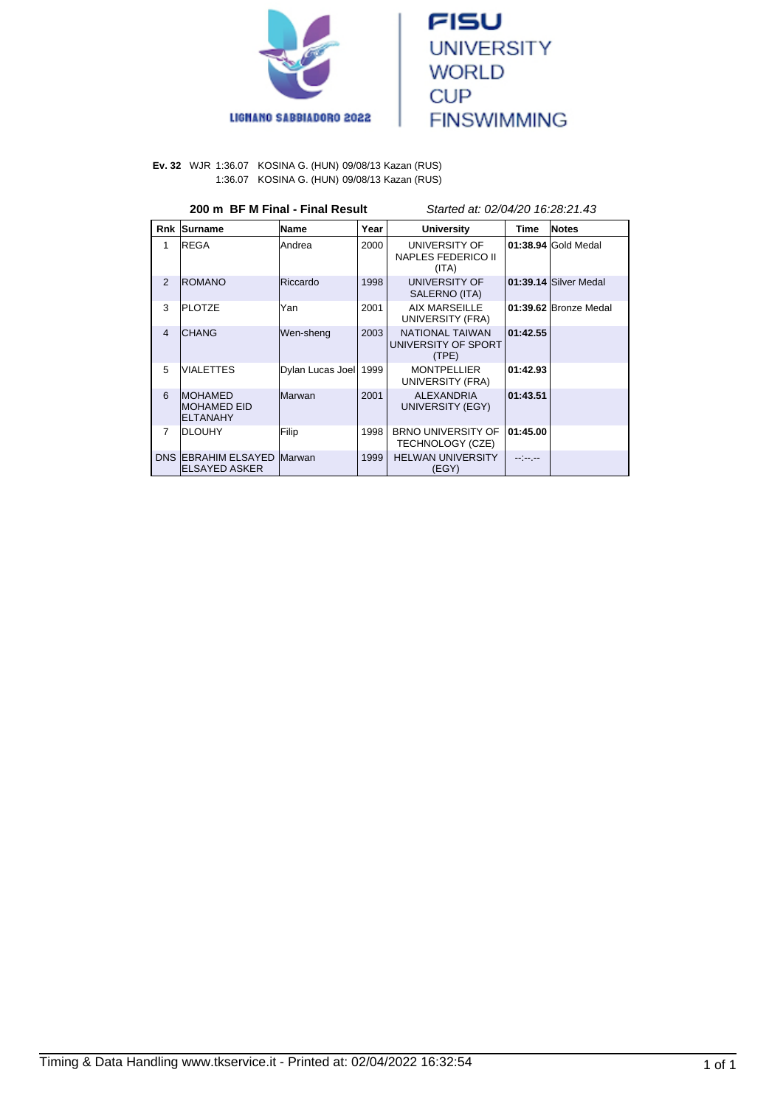



**Ev. 32** WJR 1:36.07 KOSINA G. (HUN) 09/08/13 Kazan (RUS) 1:36.07 KOSINA G. (HUN) 09/08/13 Kazan (RUS)

# **200 m BF M Final - Final Result** Started at: 02/04/20 16:28:21.43

| <b>Rnk</b>     | Surname                                            | Name             | Year | <b>University</b>                                      | Time          | <b>Notes</b>          |
|----------------|----------------------------------------------------|------------------|------|--------------------------------------------------------|---------------|-----------------------|
| 1              | <b>IREGA</b>                                       | lAndrea          | 2000 | UNIVERSITY OF<br><b>NAPLES FEDERICO II</b><br>(ITA)    |               | 01:38.94 Gold Medal   |
| $\mathcal{P}$  | <b>ROMANO</b>                                      | Riccardo         | 1998 | UNIVERSITY OF<br>SALERNO (ITA)                         |               | 01:39.14 Silver Medal |
| 3              | <b>PLOTZE</b>                                      | Yan              | 2001 | AIX MARSEILLE<br>UNIVERSITY (FRA)                      |               | 01:39.62 Bronze Medal |
| $\overline{4}$ | <b>ICHANG</b>                                      | Wen-sheng        | 2003 | <b>NATIONAL TAIWAN</b><br>UNIVERSITY OF SPORT<br>(TPE) | 01:42.55      |                       |
| 5              | <b>VIALETTES</b>                                   | Dylan Lucas Joel | 1999 | <b>MONTPELLIER</b><br>UNIVERSITY (FRA)                 | 01:42.93      |                       |
| 6              | <b>IMOHAMED</b><br>IMOHAMED EID<br><b>ELTANAHY</b> | <b>Marwan</b>    | 2001 | <b>ALEXANDRIA</b><br>UNIVERSITY (EGY)                  | 01:43.51      |                       |
| $\overline{7}$ | IDLOUHY                                            | Filip            | 1998 | <b>BRNO UNIVERSITY OF</b><br>TECHNOLOGY (CZE)          | 01:45.00      |                       |
|                | <b>DNS EBRAHIM ELSAYED</b><br>IELSAYED ASKER       | Marwan           | 1999 | <b>HELWAN UNIVERSITY</b><br>(EGY)                      | المعرضة إلماء |                       |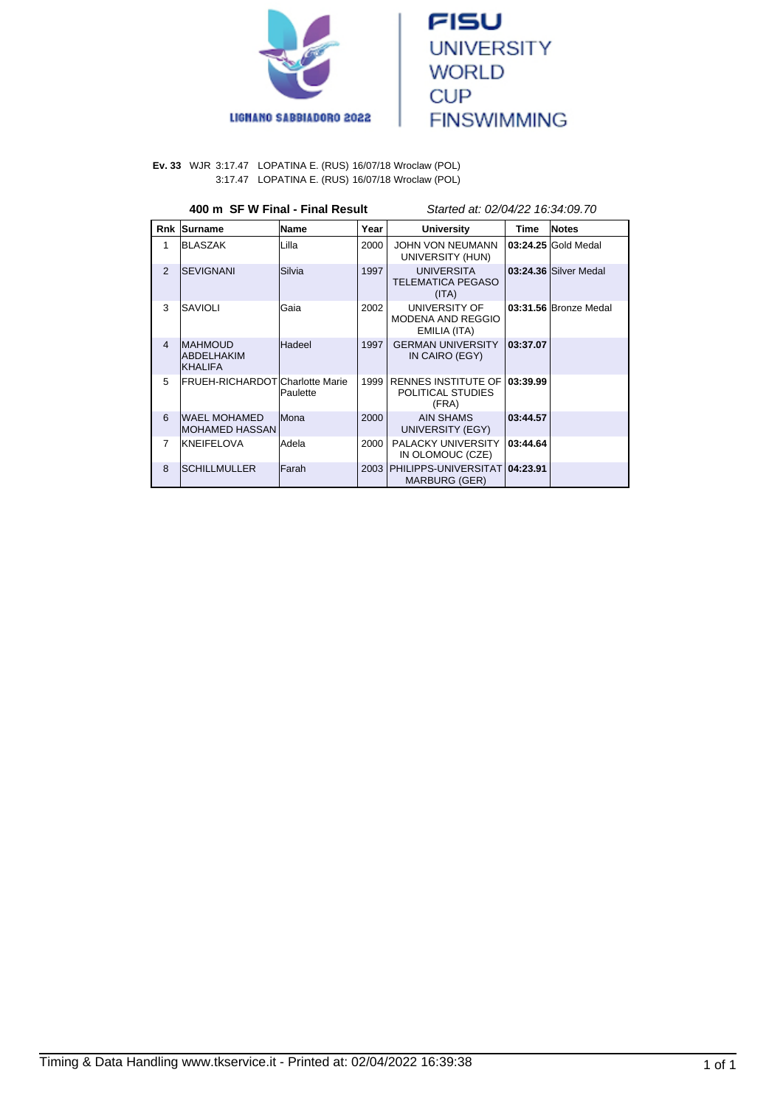



**Ev. 33** WJR 3:17.47 LOPATINA E. (RUS) 16/07/18 Wroclaw (POL) 3:17.47 LOPATINA E. (RUS) 16/07/18 Wroclaw (POL)

# **400 m SF W Final - Final Result** Started at: 02/04/22 16:34:09.70

| Rnk            | Surname                                         | Name         | Year | <b>University</b>                                        | Time     | <b>Notes</b>          |
|----------------|-------------------------------------------------|--------------|------|----------------------------------------------------------|----------|-----------------------|
| 1              | <b>BLASZAK</b>                                  | Lilla        | 2000 | JOHN VON NEUMANN<br>UNIVERSITY (HUN)                     |          | 03:24.25 Gold Medal   |
| $\overline{2}$ | <b>ISEVIGNANI</b>                               | Silvia       | 1997 | <b>UNIVERSITA</b><br><b>TELEMATICA PEGASO</b><br>(ITA)   |          | 03:24.36 Silver Medal |
| 3              | <b>SAVIOLI</b>                                  | Gaia         | 2002 | UNIVERSITY OF<br>MODENA AND REGGIO<br>EMILIA (ITA)       |          | 03:31.56 Bronze Medal |
| $\overline{4}$ | <b>IMAHMOUD</b><br>ABDELHAKIM<br><b>KHALIFA</b> | Hadeel       | 1997 | <b>GERMAN UNIVERSITY</b><br>IN CAIRO (EGY)               | 03:37.07 |                       |
| 5              | <b>IFRUEH-RICHARDOTICharlotte Marie</b>         | Paulette     | 1999 | <b>RENNES INSTITUTE OF</b><br>POLITICAL STUDIES<br>(FRA) | 03:39.99 |                       |
| 6              | <b>WAEL MOHAMED</b><br>IMOHAMED HASSAN          | lMona        | 2000 | <b>AIN SHAMS</b><br>UNIVERSITY (EGY)                     | 03:44.57 |                       |
| $\overline{7}$ | KNEIFELOVA                                      | Adela        | 2000 | <b>PALACKY UNIVERSITY</b><br>IN OLOMOUC (CZE)            | 03:44.64 |                       |
| 8              | ISCHILLMULLER                                   | <b>Farah</b> | 2003 | PHILIPPS-UNIVERSITAT<br><b>MARBURG (GER)</b>             | 04:23.91 |                       |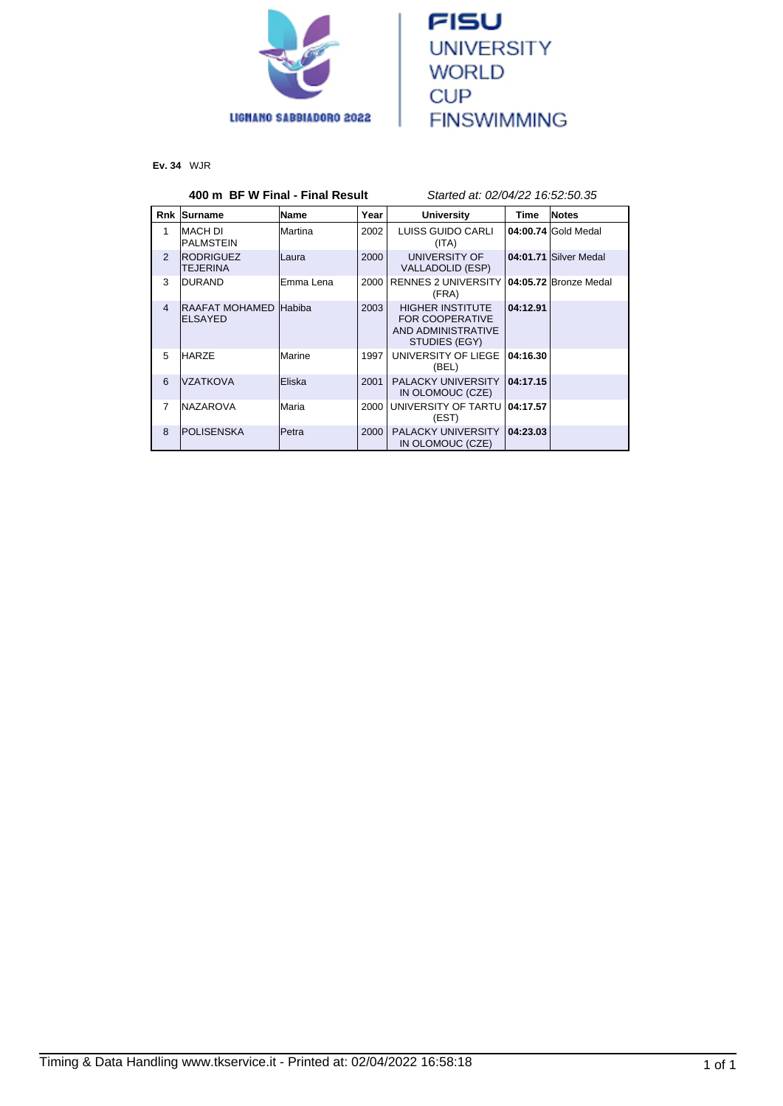



**Ev. 34** WJR

#### **400 m BF W Final - Final Result** Started at: 02/04/22 16:52:50.35 **Rnk Surname Name Year University Time Notes** 1 | MACH DI PALMSTEIN Martina 2002 LUISS GUIDO CARLI (ITA) **04:00.74** Gold Medal 2 RODRIGUEZ TEJERINA<br>DURAND Laura 2000 UNIVERSITY OF VALLADOLID (ESP) **04:01.71** Silver Medal 3 DURAND Emma Lena 2000 RENNES 2 UNIVERSITY **04:05.72** Bronze Medal (FRA) 4 RAAFAT MOHAMED Habiba ELSAYED 2003 HIGHER INSTITUTE FOR COOPERATIVE AND ADMINISTRATIVE STUDIES (EGY) **04:12.91** 5 HARZE Marine 1997 UNIVERSITY OF LIEGE **04:16.30** (BEL) 6 |VZATKOVA |Eliska | 2001 | PALACKY UNIVERSITY IN OLOMOUC (CZE) **04:17.15** 7 NAZAROVA Maria 2000 UNIVERSITY OF TARTU (EST) **04:17.57** 8 POLISENSKA Petra 2000 PALACKY UNIVERSITY IN OLOMOUC (CZE) **04:23.03**